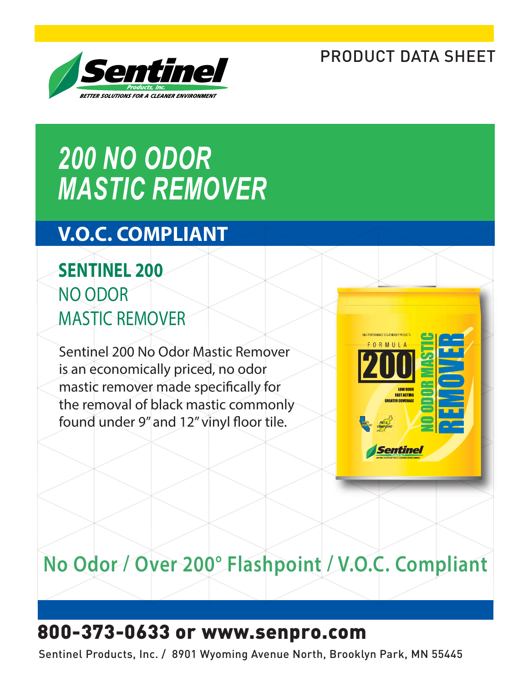### PRODUCT DATA SHEET



# *200 NO ODOR MASTIC REMOVER*

### **V.O.C. COMPLIANT**

### **SENTINEL 200** NO ODOR MASTIC REMOVER

Sentinel 200 No Odor Mastic Remover is an economically priced, no odor mastic remover made specifically for the removal of black mastic commonly found under 9" and 12" vinyl floor tile.



## **No Odor / Over 200° Flashpoint / V.O.C. Compliant**

### 800-373-0633 or www.senpro.com

Sentinel Products, Inc. / 8901 Wyoming Avenue North, Brooklyn Park, MN 55445